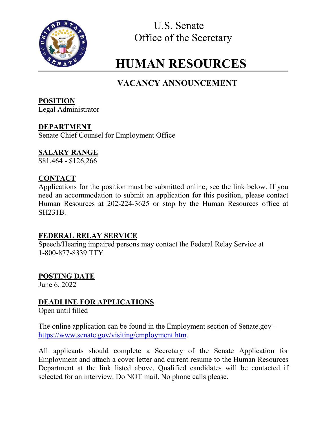

U.S. Senate Office of the Secretary

# **HUMAN RESOURCES**

## **VACANCY ANNOUNCEMENT**

**POSITION** Legal Administrator

### **DEPARTMENT**

Senate Chief Counsel for Employment Office

### **SALARY RANGE**

\$81,464 - \$126,266

### **CONTACT**

Applications for the position must be submitted online; see the link below. If you need an accommodation to submit an application for this position, please contact Human Resources at 202-224-3625 or stop by the Human Resources office at SH231B.

### **FEDERAL RELAY SERVICE**

Speech/Hearing impaired persons may contact the Federal Relay Service at 1-800-877-8339 TTY

### **POSTING DATE**

June 6, 2022

### **DEADLINE FOR APPLICATIONS**

Open until filled

The online application can be found in the Employment section of Senate.gov https://www.senate.gov/visiting/employment.htm.

All applicants should complete a Secretary of the Senate Application for Employment and attach a cover letter and current resume to the Human Resources Department at the link listed above. Qualified candidates will be contacted if selected for an interview. Do NOT mail. No phone calls please.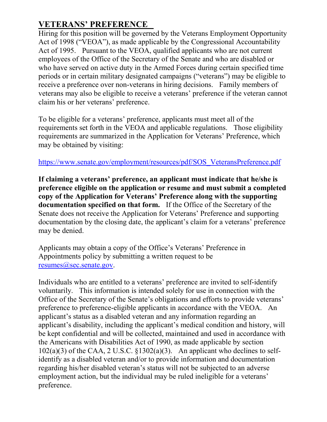### **VETERANS' PREFERENCE**

Hiring for this position will be governed by the Veterans Employment Opportunity Act of 1998 ("VEOA"), as made applicable by the Congressional Accountability Act of 1995. Pursuant to the VEOA, qualified applicants who are not current employees of the Office of the Secretary of the Senate and who are disabled or who have served on active duty in the Armed Forces during certain specified time periods or in certain military designated campaigns ("veterans") may be eligible to receive a preference over non-veterans in hiring decisions. Family members of veterans may also be eligible to receive a veterans' preference if the veteran cannot claim his or her veterans' preference.

To be eligible for a veterans' preference, applicants must meet all of the requirements set forth in the VEOA and applicable regulations. Those eligibility requirements are summarized in the Application for Veterans' Preference, which may be obtained by visiting:

### [https://www.senate.gov/employment/resources/pdf/SOS\\_VeteransPreference.pdf](https://www.senate.gov/employment/resources/pdf/SOS_VeteransPreference.pdf)

**If claiming a veterans' preference, an applicant must indicate that he/she is preference eligible on the application or resume and must submit a completed copy of the Application for Veterans' Preference along with the supporting documentation specified on that form.** If the Office of the Secretary of the Senate does not receive the Application for Veterans' Preference and supporting documentation by the closing date, the applicant's claim for a veterans' preference may be denied.

Applicants may obtain a copy of the Office's Veterans' Preference in Appointments policy by submitting a written request to be  $resumes@sec.senate.gov.$ 

Individuals who are entitled to a veterans' preference are invited to self-identify voluntarily. This information is intended solely for use in connection with the Office of the Secretary of the Senate's obligations and efforts to provide veterans' preference to preference-eligible applicants in accordance with the VEOA. An applicant's status as a disabled veteran and any information regarding an applicant's disability, including the applicant's medical condition and history, will be kept confidential and will be collected, maintained and used in accordance with the Americans with Disabilities Act of 1990, as made applicable by section  $102(a)(3)$  of the CAA, 2 U.S.C.  $\S 1302(a)(3)$ . An applicant who declines to selfidentify as a disabled veteran and/or to provide information and documentation regarding his/her disabled veteran's status will not be subjected to an adverse employment action, but the individual may be ruled ineligible for a veterans' preference.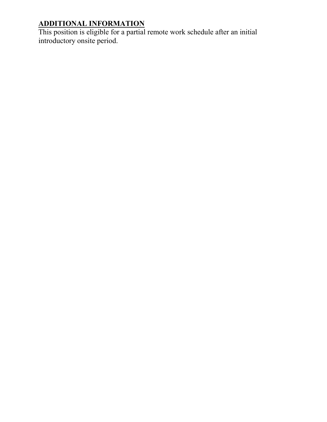### **ADDITIONAL INFORMATION**

This position is eligible for a partial remote work schedule after an initial introductory onsite period.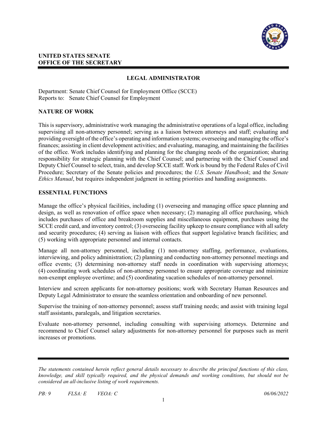

#### **LEGAL ADMINISTRATOR**

Department: Senate Chief Counsel for Employment Office (SCCE) Reports to: Senate Chief Counsel for Employment

#### **NATURE OF WORK**

This is supervisory, administrative work managing the administrative operations of a legal office, including supervising all non-attorney personnel; serving as a liaison between attorneys and staff; evaluating and providing oversight of the office's operating and information systems; overseeing and managing the office's finances; assisting in client development activities; and evaluating, managing, and maintaining the facilities of the office. Work includes identifying and planning for the changing needs of the organization; sharing responsibility for strategic planning with the Chief Counsel; and partnering with the Chief Counsel and Deputy Chief Counsel to select, train, and develop SCCE staff. Work is bound by the Federal Rules of Civil Procedure; Secretary of the Senate policies and procedures; the *U.S. Senate Handbook*; and the *Senate Ethics Manual*, but requires independent judgment in setting priorities and handling assignments.

#### **ESSENTIAL FUNCTIONS**

Manage the office's physical facilities, including (1) overseeing and managing office space planning and design, as well as renovation of office space when necessary; (2) managing all office purchasing, which includes purchases of office and breakroom supplies and miscellaneous equipment, purchases using the SCCE credit card, and inventory control; (3) overseeing facility upkeep to ensure compliance with all safety and security procedures; (4) serving as liaison with offices that support legislative branch facilities; and (5) working with appropriate personnel and internal contacts.

Manage all non-attorney personnel, including (1) non-attorney staffing, performance, evaluations, interviewing, and policy administration; (2) planning and conducting non-attorney personnel meetings and office events; (3) determining non-attorney staff needs in coordination with supervising attorneys; (4) coordinating work schedules of non-attorney personnel to ensure appropriate coverage and minimize non-exempt employee overtime; and (5) coordinating vacation schedules of non-attorney personnel.

Interview and screen applicants for non-attorney positions; work with Secretary Human Resources and Deputy Legal Administrator to ensure the seamless orientation and onboarding of new personnel.

Supervise the training of non-attorney personnel; assess staff training needs; and assist with training legal staff assistants, paralegals, and litigation secretaries.

Evaluate non-attorney personnel, including consulting with supervising attorneys. Determine and recommend to Chief Counsel salary adjustments for non-attorney personnel for purposes such as merit increases or promotions.

*The statements contained herein reflect general details necessary to describe the principal functions of this class, knowledge, and skill typically required, and the physical demands and working conditions, but should not be considered an all-inclusive listing of work requirements.*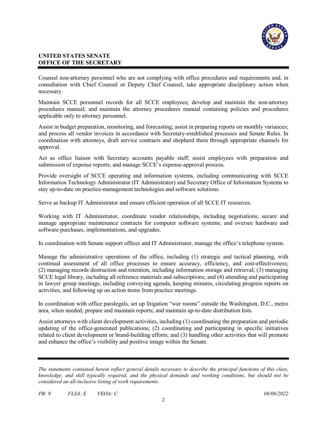

Counsel non-attorney personnel who are not complying with office procedures and requirements and, in consultation with Chief Counsel or Deputy Chief Counsel, take appropriate disciplinary action when necessary.

Maintain SCCE personnel records for all SCCE employees; develop and maintain the non-attorney procedures manual; and maintain the attorney procedures manual containing policies and procedures applicable only to attorney personnel.

Assist in budget preparation, monitoring, and forecasting; assist in preparing reports on monthly variances; and process all vendor invoices in accordance with Secretary-established processes and Senate Rules. In coordination with attorneys, draft service contracts and shepherd them through appropriate channels for approval.

Act as office liaison with Secretary accounts payable staff; assist employees with preparation and submission of expense reports; and manage SCCE's expense-approval process.

Provide oversight of SCCE operating and information systems, including communicating with SCCE Information Technology Administrator (IT Administrator) and Secretary Office of Information Systems to stay up-to-date on practice-management technologies and software solutions.

Serve as backup IT Administrator and ensure efficient operation of all SCCE IT resources.

Working with IT Administrator, coordinate vendor relationships, including negotiations; secure and manage appropriate maintenance contracts for computer software systems; and oversee hardware and software purchases, implementations, and upgrades.

In coordination with Senate support offices and IT Administrator, manage the office's telephone system.

Manage the administrative operations of the office, including (1) strategic and tactical planning, with continual assessment of all office processes to ensure accuracy, efficiency, and cost-effectiveness; (2) managing records destruction and retention, including information storage and retrieval; (3) managing SCCE legal library, including all reference materials and subscriptions; and (4) attending and participating in lawyer group meetings, including conveying agenda, keeping minutes, circulating progress reports on activities, and following up on action items from practice meetings.

In coordination with office paralegals, set up litigation "war rooms" outside the Washington, D.C., metro area, when needed; prepare and maintain reports; and maintain up-to-date distribution lists.

Assist attorneys with client development activities, including (1) coordinating the preparation and periodic updating of the office-generated publications; (2) coordinating and participating in specific initiatives related to client development or brand-building efforts; and (3) handling other activities that will promote and enhance the office's visibility and positive image within the Senate.

*The statements contained herein reflect general details necessary to describe the principal functions of this class, knowledge, and skill typically required, and the physical demands and working conditions, but should not be considered an all-inclusive listing of work requirements.*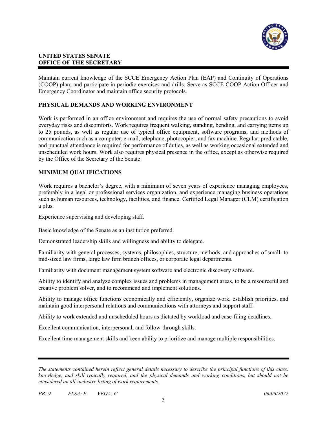

Maintain current knowledge of the SCCE Emergency Action Plan (EAP) and Continuity of Operations (COOP) plan; and participate in periodic exercises and drills. Serve as SCCE COOP Action Officer and Emergency Coordinator and maintain office security protocols.

#### **PHYSICAL DEMANDS AND WORKING ENVIRONMENT**

Work is performed in an office environment and requires the use of normal safety precautions to avoid everyday risks and discomforts. Work requires frequent walking, standing, bending, and carrying items up to 25 pounds, as well as regular use of typical office equipment, software programs, and methods of communication such as a computer, e-mail, telephone, photocopier, and fax machine. Regular, predictable, and punctual attendance is required for performance of duties, as well as working occasional extended and unscheduled work hours. Work also requires physical presence in the office, except as otherwise required by the Office of the Secretary of the Senate.

#### **MINIMUM QUALIFICATIONS**

Work requires a bachelor's degree, with a minimum of seven years of experience managing employees, preferably in a legal or professional services organization, and experience managing business operations such as human resources, technology, facilities, and finance. Certified Legal Manager (CLM) certification a plus.

Experience supervising and developing staff.

Basic knowledge of the Senate as an institution preferred.

Demonstrated leadership skills and willingness and ability to delegate.

Familiarity with general processes, systems, philosophies, structure, methods, and approaches of small- to mid-sized law firms, large law firm branch offices, or corporate legal departments.

Familiarity with document management system software and electronic discovery software.

Ability to identify and analyze complex issues and problems in management areas, to be a resourceful and creative problem solver, and to recommend and implement solutions.

Ability to manage office functions economically and efficiently, organize work, establish priorities, and maintain good interpersonal relations and communications with attorneys and support staff.

Ability to work extended and unscheduled hours as dictated by workload and case-filing deadlines.

Excellent communication, interpersonal, and follow-through skills.

Excellent time management skills and keen ability to prioritize and manage multiple responsibilities.

*The statements contained herein reflect general details necessary to describe the principal functions of this class, knowledge, and skill typically required, and the physical demands and working conditions, but should not be considered an all-inclusive listing of work requirements.*